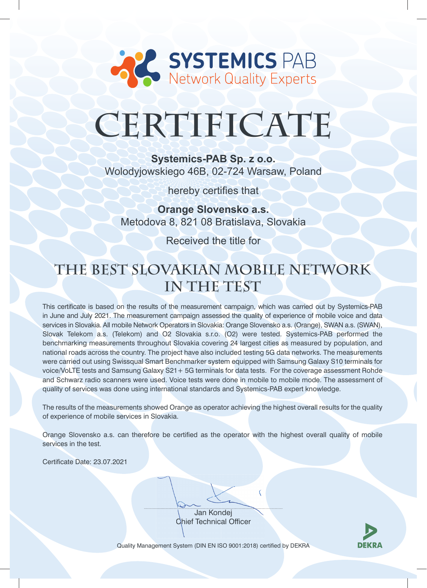

# **CERTIFICATE**

**Systemics-PAB Sp. z o.o.**  Wolodyjowskiego 46B, 02-724 Warsaw, Poland

hereby certifies that

**Orange Slovensko a.s.** Metodova 8, 821 08 Bratislava, Slovakia

Received the title for

## **The Best Slovakian Mobile Network in The Test**

This certificate is based on the results of the measurement campaign, which was carried out by Systemics-PAB in June and July 2021. The measurement campaign assessed the quality of experience of mobile voice and data services in Slovakia. All mobile Network Operators in Slovakia: Orange Slovensko a.s. (Orange), SWAN a.s. (SWAN), Slovak Telekom a.s. (Telekom) and O2 Slovakia s.r.o. (O2) were tested. Systemics-PAB performed the benchmarking measurements throughout Slovakia covering 24 largest cities as measured by population, and national roads across the country. The project have also included testing 5G data networks. The measurements were carried out using Swissqual Smart Benchmarker system equipped with Samsung Galaxy S10 terminals for voice/VoLTE tests and Samsung Galaxy S21+ 5G terminals for data tests. For the coverage assessment Rohde and Schwarz radio scanners were used. Voice tests were done in mobile to mobile mode. The assessment of quality of services was done using international standards and Systemics-PAB expert knowledge.

The results of the measurements showed Orange as operator achieving the highest overall results for the quality of experience of mobile services in Slovakia.

Orange Slovensko a.s. can therefore be certified as the operator with the highest overall quality of mobile services in the test.

Certificate Date: 23.07.2021

Jan Kondej Chief Technical Officer



Quality Management System (DIN EN ISO 9001:2018) certified by DEKRA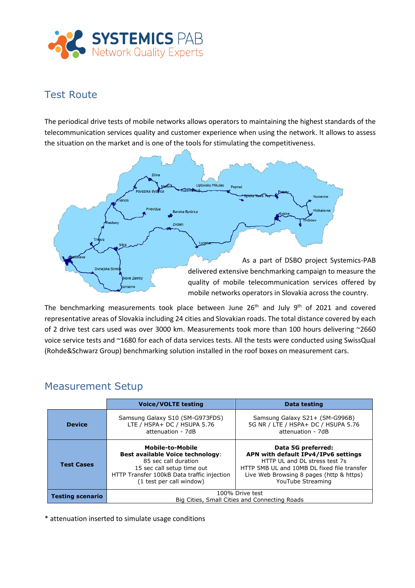

### Test Route

The periodical drive tests of mobile networks allows operators to maintaining the highest standards of the telecommunication services quality and customer experience when using the network. It allows to assess the situation on the market and is one of the tools for stimulating the competitiveness.



The benchmarking measurements took place between June 26<sup>th</sup> and July 9<sup>th</sup> of 2021 and covered representative areas of Slovakia including 24 cities and Slovakian roads. The total distance covered by each of 2 drive test cars used was over 3000 km. Measurements took more than 100 hours delivering ~2660 voice service tests and ~1680 for each of data services tests. All the tests were conducted using SwissQual (Rohde&Schwarz Group) benchmarking solution installed in the roof boxes on measurement cars.

#### Measurement Setup

|                         | <b>Voice/VOLTE testing</b>                                                                                                                                                                         | Data testing                                                                                                                                                                                               |
|-------------------------|----------------------------------------------------------------------------------------------------------------------------------------------------------------------------------------------------|------------------------------------------------------------------------------------------------------------------------------------------------------------------------------------------------------------|
| <b>Device</b>           | Samsung Galaxy S10 (SM-G973FDS)<br>LTE / HSPA+ DC / HSUPA 5.76<br>attenuation - 7dB                                                                                                                | Samsung Galaxy S21+ (SM-G996B)<br>5G NR / LTE / HSPA+ DC / HSUPA 5.76<br>attenuation - 7dB                                                                                                                 |
| <b>Test Cases</b>       | <b>Mobile-to-Mobile</b><br><b>Best available Voice technology:</b><br>85 sec call duration<br>15 sec call setup time out<br>HTTP Transfer 100kB Data traffic injection<br>(1 test per call window) | Data 5G preferred:<br>APN with default IPv4/IPv6 settings<br>HTTP UL and DL stress test 7s<br>HTTP 5MB UL and 10MB DL fixed file transfer<br>Live Web Browsing 8 pages (http & https)<br>YouTube Streaming |
| <b>Testing scenario</b> | 100% Drive test<br>Big Cities, Small Cities and Connecting Roads                                                                                                                                   |                                                                                                                                                                                                            |

\* attenuation inserted to simulate usage conditions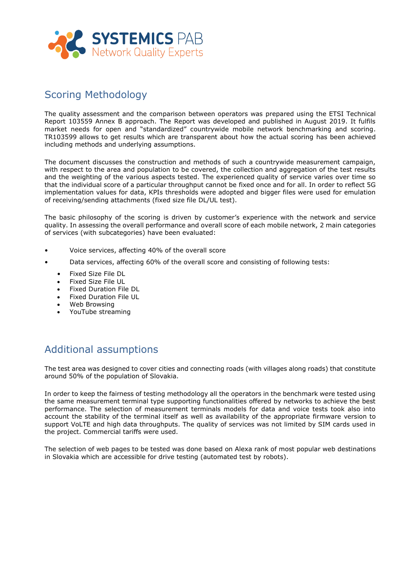

#### Scoring Methodology

The quality assessment and the comparison between operators was prepared using the ETSI Technical Report 103559 Annex B approach. The Report was developed and published in August 2019. It fulfils market needs for open and "standardized" countrywide mobile network benchmarking and scoring. TR103599 allows to get results which are transparent about how the actual scoring has been achieved including methods and underlying assumptions.

The document discusses the construction and methods of such a countrywide measurement campaign, with respect to the area and population to be covered, the collection and aggregation of the test results and the weighting of the various aspects tested. The experienced quality of service varies over time so that the individual score of a particular throughput cannot be fixed once and for all. In order to reflect 5G implementation values for data, KPIs thresholds were adopted and bigger files were used for emulation of receiving/sending attachments (fixed size file DL/UL test).

The basic philosophy of the scoring is driven by customer's experience with the network and service quality. In assessing the overall performance and overall score of each mobile network, 2 main categories of services (with subcategories) have been evaluated:

- Voice services, affecting 40% of the overall score
- Data services, affecting 60% of the overall score and consisting of following tests:
	- Fixed Size File DL
	- Fixed Size File UL
	- Fixed Duration File DL
	- Fixed Duration File UL
	- Web Browsing
	- YouTube streaming

### Additional assumptions

The test area was designed to cover cities and connecting roads (with villages along roads) that constitute around 50% of the population of Slovakia.

In order to keep the fairness of testing methodology all the operators in the benchmark were tested using the same measurement terminal type supporting functionalities offered by networks to achieve the best performance. The selection of measurement terminals models for data and voice tests took also into account the stability of the terminal itself as well as availability of the appropriate firmware version to support VoLTE and high data throughputs. The quality of services was not limited by SIM cards used in the project. Commercial tariffs were used.

The selection of web pages to be tested was done based on Alexa rank of most popular web destinations in Slovakia which are accessible for drive testing (automated test by robots).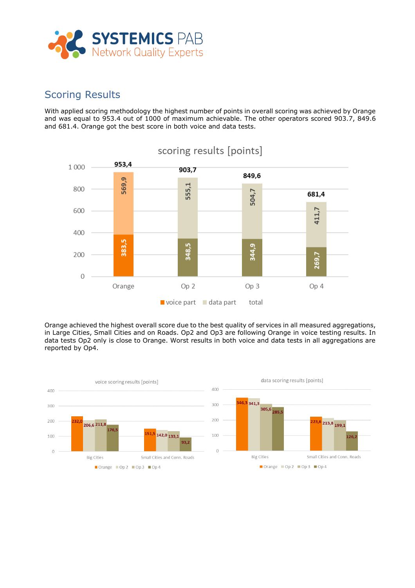

#### Scoring Results

With applied scoring methodology the highest number of points in overall scoring was achieved by Orange and was equal to 953.4 out of 1000 of maximum achievable. The other operators scored 903.7, 849.6 and 681.4. Orange got the best score in both voice and data tests.



Orange achieved the highest overall score due to the best quality of services in all measured aggregations, in Large Cities, Small Cities and on Roads. Op2 and Op3 are following Orange in voice testing results. In data tests Op2 only is close to Orange. Worst results in both voice and data tests in all aggregations are reported by Op4.

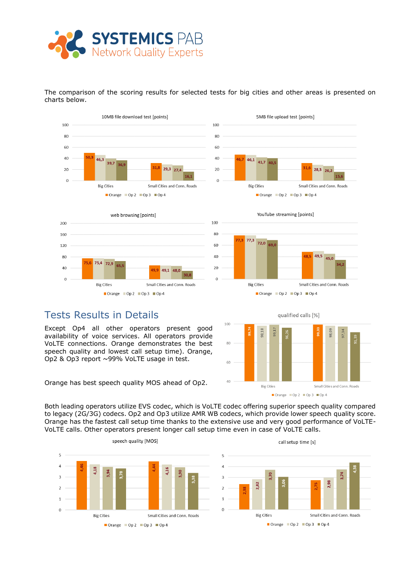

The comparison of the scoring results for selected tests for big cities and other areas is presented on charts below.





YouTube streaming [points]

Orange  $\Box$  Op 2  $\Box$  Op 3  $\Box$  Op 4

28.3

Small Cities and Conn. Roads

5MB file upload test [points]

46.1

**Big Cities** 

 $41,7$  40.



#### Tests Results in Details

Except Op4 all other operators present good availability of voice services. All operators provide VoLTE connections. Orange demonstrates the best speech quality and lowest call setup time). Orange, Op2 & Op3 report ~99% VoLTE usage in test.

Orange has best speech quality MOS ahead of Op2.

qualified calls [%] 100 60  $40$ **Big Cities** Small Cities and Conn. Roads Orange Op 2 Op 3 Op 4

Both leading operators utilize EVS codec, which is VoLTE codec offering superior speech quality compared to legacy (2G/3G) codecs. Op2 and Op3 utilize AMR WB codecs, which provide lower speech quality score. Orange has the fastest call setup time thanks to the extensive use and very good performance of VoLTE-VoLTE calls. Other operators present longer call setup time even in case of VoLTE calls.

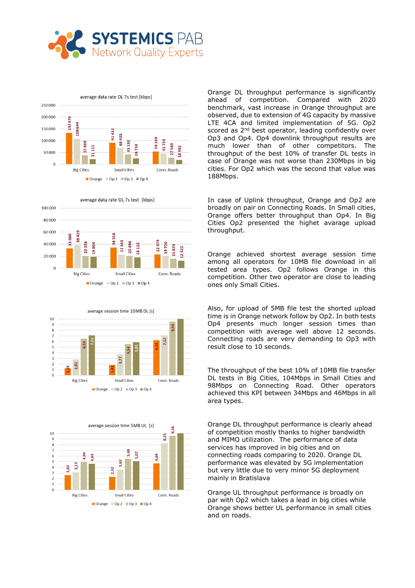









Orange DL throughput performance is significantly ahead of competition. Compared with 2020 benchmark, vast increase in Orange throughput are observed, due to extension of 4G capacity by massive LTE 4CA and limited implementation of 5G. Op2 scored as 2<sup>nd</sup> best operator, leading confidently over Op3 and Op4. Op4 downlink throughput results are much lower than of other competitors. The throughput of the best 10% of transfer DL tests in case of Orange was not worse than 230Mbps in big cities. For Op2 which was the second that value was 188Mbps.

In case of Uplink throughput, Orange and Op2 are broadly on pair on Connecting Roads. In Small cities, Orange offers better throughput than Op4. In Big Cities Op2 presented the highet avarage upload throughput.

Orange achieved shortest average session time among all operators for 10MB file download in all tested area types. Op2 follows Orange in this competition. Other two operator are close to leading ones only Small Cities.

Also, for upload of 5MB file test the shorted upload time is in Orange network follow by Op2. In both tests Op4 presents much longer session times than competition with average well above 12 seconds. Connecting roads are very demanding to Op3 with result close to 10 seconds.

The throughput of the best 10% of 10MB file transfer DL tests in Big Cities, 104Mbps in Small Cities and 98Mbps on Connecting Road. Other operators achieved this KPI between 34Mbps and 46Mbps in all area types.

Orange DL throughput performance is clearly ahead of competition mostly thanks to higher bandwidth and MIMO utilization. The performance of data services has improved in big cities and on connecting roads comparing to 2020. Orange DL performance was elevated by 5G implementation but very little due to very minor 5G deployment mainly in Bratislava

Orange UL throughput performance is broadly on par with Op2 which takes a lead in big cities while Orange shows better UL performance in small cities and on roads.

average data rate UL 7s test [kbps]